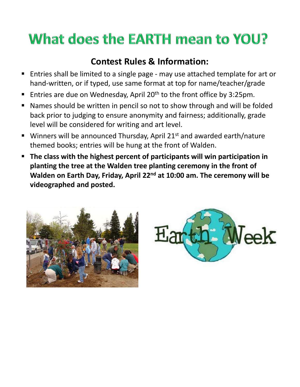## What does the EARTH mean to YOU?

## **Contest Rules & Information:**

- Entries shall be limited to a single page may use attached template for art or hand‐written, or if typed, use same format at top for name/teacher/grade
- Entries are due on Wednesday, April 20<sup>th</sup> to the front office by 3:25pm.
- Names should be written in pencil so not to show through and will be folded back prior to judging to ensure anonymity and fairness; additionally, grade level will be considered for writing and art level.
- Winners will be announced Thursday, April 21<sup>st</sup> and awarded earth/nature themed books; entries will be hung at the front of Walden.
- **The class with the highest percent of participants will win participation in planting the tree at the Walden tree planting ceremony in the front of Walden on Earth Day, Friday, April 22nd at 10:00 am. The ceremony will be videographed and posted.**



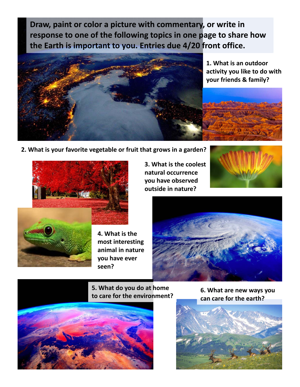**Draw, paint or color a picture with commentary, or write in response to one of the following topics in one page to share how the Earth is important to you. Entries due 4/20 front office.**



**1. What is an outdoor activity you like to do with your friends & family?**

**2. What is your favorite vegetable or fruit that grows in a garden?**



**4. What is the most interesting animal in nature you have ever seen?**

**3. What is the coolest natural occurrence you have observed outside in nature?**





**5. What do you do at home to care for the environment? 6. What are new ways you** 



**can care for the earth?**